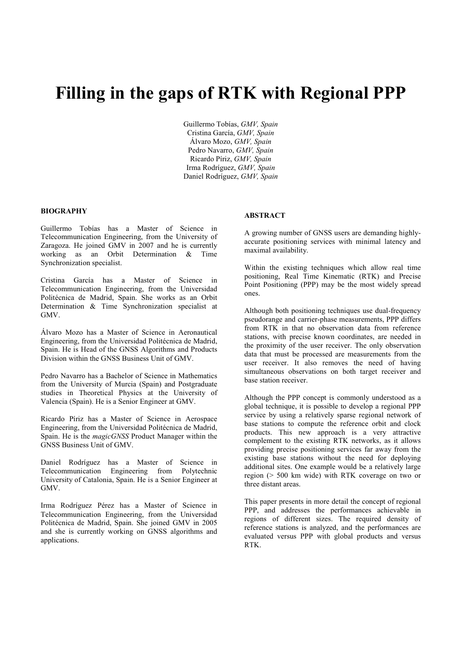# Filling in the gaps of RTK with Regional PPP

Guillermo Tobías, GMV, Spain Cristina García, GMV, Spain Álvaro Mozo, GMV, Spain Pedro Navarro, GMV, Spain Ricardo Píriz, GMV, Spain Irma Rodríguez, GMV, Spain Daniel Rodríguez, GMV, Spain

## BIOGRAPHY

Guillermo Tobías has a Master of Science in Telecommunication Engineering, from the University of Zaragoza. He joined GMV in 2007 and he is currently working as an Orbit Determination & Time Synchronization specialist.

Cristina García has a Master of Science in Telecommunication Engineering, from the Universidad Politécnica de Madrid, Spain. She works as an Orbit Determination & Time Synchronization specialist at GMV.

Álvaro Mozo has a Master of Science in Aeronautical Engineering, from the Universidad Politécnica de Madrid, Spain. He is Head of the GNSS Algorithms and Products Division within the GNSS Business Unit of GMV.

Pedro Navarro has a Bachelor of Science in Mathematics from the University of Murcia (Spain) and Postgraduate studies in Theoretical Physics at the University of Valencia (Spain). He is a Senior Engineer at GMV.

Ricardo Píriz has a Master of Science in Aerospace Engineering, from the Universidad Politécnica de Madrid, Spain. He is the magicGNSS Product Manager within the GNSS Business Unit of GMV.

Daniel Rodríguez has a Master of Science in Telecommunication Engineering from Polytechnic University of Catalonia, Spain. He is a Senior Engineer at GMV.

Irma Rodríguez Pérez has a Master of Science in Telecommunication Engineering, from the Universidad Politécnica de Madrid, Spain. She joined GMV in 2005 and she is currently working on GNSS algorithms and applications.

## ABSTRACT

A growing number of GNSS users are demanding highlyaccurate positioning services with minimal latency and maximal availability.

Within the existing techniques which allow real time positioning, Real Time Kinematic (RTK) and Precise Point Positioning (PPP) may be the most widely spread ones.

Although both positioning techniques use dual-frequency pseudorange and carrier-phase measurements, PPP differs from RTK in that no observation data from reference stations, with precise known coordinates, are needed in the proximity of the user receiver. The only observation data that must be processed are measurements from the user receiver. It also removes the need of having simultaneous observations on both target receiver and base station receiver.

Although the PPP concept is commonly understood as a global technique, it is possible to develop a regional PPP service by using a relatively sparse regional network of base stations to compute the reference orbit and clock products. This new approach is a very attractive complement to the existing RTK networks, as it allows providing precise positioning services far away from the existing base stations without the need for deploying additional sites. One example would be a relatively large region (> 500 km wide) with RTK coverage on two or three distant areas.

This paper presents in more detail the concept of regional PPP, and addresses the performances achievable in regions of different sizes. The required density of reference stations is analyzed, and the performances are evaluated versus PPP with global products and versus RTK.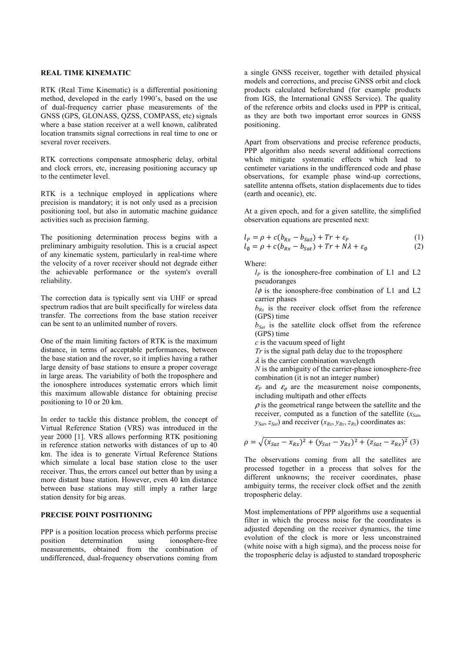# REAL TIME KINEMATIC

RTK (Real Time Kinematic) is a differential positioning method, developed in the early 1990's, based on the use of dual-frequency carrier phase measurements of the GNSS (GPS, GLONASS, QZSS, COMPASS, etc) signals where a base station receiver at a well known, calibrated location transmits signal corrections in real time to one or several rover receivers.

RTK corrections compensate atmospheric delay, orbital and clock errors, etc, increasing positioning accuracy up to the centimeter level.

RTK is a technique employed in applications where precision is mandatory; it is not only used as a precision positioning tool, but also in automatic machine guidance activities such as precision farming.

The positioning determination process begins with a preliminary ambiguity resolution. This is a crucial aspect of any kinematic system, particularly in real-time where the velocity of a rover receiver should not degrade either the achievable performance or the system's overall reliability.

The correction data is typically sent via UHF or spread spectrum radios that are built specifically for wireless data transfer. The corrections from the base station receiver can be sent to an unlimited number of rovers.

One of the main limiting factors of RTK is the maximum distance, in terms of acceptable performances, between the base station and the rover, so it implies having a rather large density of base stations to ensure a proper coverage in large areas. The variability of both the troposphere and the ionosphere introduces systematic errors which limit this maximum allowable distance for obtaining precise positioning to 10 or 20 km.

In order to tackle this distance problem, the concept of Virtual Reference Station (VRS) was introduced in the year 2000 [1]. VRS allows performing RTK positioning in reference station networks with distances of up to 40 km. The idea is to generate Virtual Reference Stations which simulate a local base station close to the user receiver. Thus, the errors cancel out better than by using a more distant base station. However, even 40 km distance between base stations may still imply a rather large station density for big areas.

## PRECISE POINT POSITIONING

PPP is a position location process which performs precise position determination using ionosphere-free measurements, obtained from the combination of undifferenced, dual-frequency observations coming from

a single GNSS receiver, together with detailed physical models and corrections, and precise GNSS orbit and clock products calculated beforehand (for example products from IGS, the International GNSS Service). The quality of the reference orbits and clocks used in PPP is critical, as they are both two important error sources in GNSS positioning.

Apart from observations and precise reference products, PPP algorithm also needs several additional corrections which mitigate systematic effects which lead to centimeter variations in the undifferenced code and phase observations, for example phase wind-up corrections, satellite antenna offsets, station displacements due to tides (earth and oceanic), etc.

At a given epoch, and for a given satellite, the simplified observation equations are presented next:

$$
l_P = \rho + c(b_{Rx} - b_{Sat}) + Tr + \varepsilon_P \tag{1}
$$

$$
l_{\emptyset} = \rho + c(b_{Rx} - b_{Sat}) + Tr + N\lambda + \varepsilon_{\emptyset}
$$
 (2)

Where:

 $l<sub>P</sub>$  is the ionosphere-free combination of L1 and L2 pseudoranges

 $l\phi$  is the ionosphere-free combination of L1 and L2 carrier phases

 $b_{Rx}$  is the receiver clock offset from the reference (GPS) time

 $b_{Sat}$  is the satellite clock offset from the reference (GPS) time

 $c$  is the vacuum speed of light

 $Tr$  is the signal path delay due to the troposphere

 $\lambda$  is the carrier combination wavelength

 $N$  is the ambiguity of the carrier-phase ionosphere-free combination (it is not an integer number)

 $\varepsilon_P$  and  $\varepsilon_\phi$  are the measurement noise components, including multipath and other effects

 $\rho$  is the geometrical range between the satellite and the receiver, computed as a function of the satellite  $(x_{Sat}$ ,  $y_{\text{Sat}}$ ,  $z_{\text{Sat}}$ ) and receiver  $(x_{\text{Rx}}, y_{\text{Rx}}, z_{\text{Rx}})$  coordinates as:

$$
\rho = \sqrt{(x_{Sat} - x_{Rx})^2 + (y_{Sat} - y_{Rx})^2 + (z_{Sat} - z_{Rx})^2}
$$
 (3)

The observations coming from all the satellites are processed together in a process that solves for the different unknowns; the receiver coordinates, phase ambiguity terms, the receiver clock offset and the zenith tropospheric delay.

Most implementations of PPP algorithms use a sequential filter in which the process noise for the coordinates is adjusted depending on the receiver dynamics, the time evolution of the clock is more or less unconstrained (white noise with a high sigma), and the process noise for the tropospheric delay is adjusted to standard tropospheric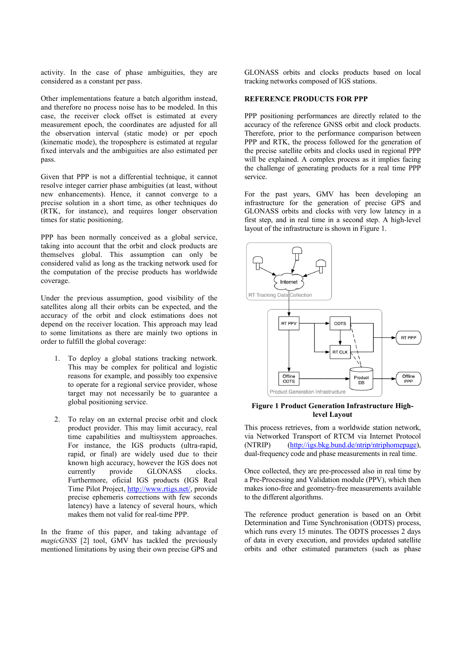activity. In the case of phase ambiguities, they are considered as a constant per pass.

Other implementations feature a batch algorithm instead, and therefore no process noise has to be modeled. In this case, the receiver clock offset is estimated at every and therefore no process noise has to be modeled. In this case, the receiver clock offset is estimated at every measurement epoch, the coordinates are adjusted for all the observation interval (static mode) or per epoch (kinematic mode), the troposphere is estimated at regular (kinematic mode), the troposphere is estimated at regular fixed intervals and the ambiguities are also estimated per pass.

Given that PPP is not a differential technique, it cannot resolve integer carrier phase ambiguities (at least, without new enhancements). Hence, it cannot converge to a precise solution in a short time, as other techniques do (RTK, for instance), and requires longer observation times for static positioning. (RTK, for instance), and requires longer observation<br>times for static positioning.<br>PPP has been normally conceived as a global service,

taking into account that the orbit and clock products are themselves global. This assumption can only be considered valid as long as the tracking network used for the computation of the precise products has worldwide coverage.

Under the previous assumption, good visibility of the Under the previous assumption, good visibility of the satellites along all their orbits can be expected, and the accuracy of the orbit and clock estimations does not accuracy of the orbit and clock estimations does not depend on the receiver location. This approach may lead to some limitations as there are mainly two options in order to fulfill the global coverage:

- 1. To deploy a global stations tracking network. This may be complex for political and logistic reasons for example, and possibly too expensive to operate for a regional service provider, whose target may not necessarily be to guarantee a global positioning service.
- 2. To relay on an external precise orbit and clock product provider. This may limit accuracy, real time capabilities and multisystem approaches. For instance, the IGS products (ultra (ultra-rapid, rapid, or final) are widely used due to their known high accuracy, however the IGS does not currently provide GLONASS clocks. Furthermore, oficial IGS products (IGS Real Time Pilot Project, *http://www.rtigs.net/*, provide precise ephemeris corrections with few seconds latency) have a latency of several hours, which makes them not valid for real-time PPP.

In the frame of this paper, and taking advantage of magicGNSS [2] tool, GMV has tackled the previously mentioned limitations by using their own precise GPS and time PPP.<br>king advantage of<br>led the previously<br>wn precise GPS and GLONASS orbits and clocks products products based on local tracking networks composed of IGS stations.

#### REFERENCE PRODUCTS FOR PPP RODUCTS

PPP positioning performances are directly related to the accuracy of the reference GNSS orbit and clock products. Therefore, prior to the performance comparison between PPP and RTK, the process followed for the generation of the precise satellite orbits and clocks used in regional PPP will be explained. A complex process as it implies facing the challenge of generating products for a real time PPP service. to the performance comparison between<br>he process followed for the generation of<br>te orbits and clocks used in regional PPP<br>l. A complex process as it implies facing<br>generating products for a real time PPP

For the past years, GMV has been developing an For the past years, GMV has been developing an infrastructure for the generation of precise GPS and GLONASS orbits and clocks with very low latency in a GLONASS orbits and clocks with very low latency in a first step, and in real time in a second step. A high-level layout of the infrastructure is shown in Figure 1.



## Figure 1 Product Generation Infrastructure Highlevel Layout

This process retrieves, from a worldwide station network, via Networked Transport of RTCM via Internet Protocol via Networked Transport of RTCM via Internet Protocol (NTRIP) (http://igs.bkg.bund.de/ntrip/ntriphomepage), dual-frequency code and phase measurements in real time. dual-frequency code and phase measurements in real time.<br>Once collected, they are pre-processed also in real time by

a Pre-Processing and Validation module (PPV), which then makes iono-free and geometry-free measurements available to the different algorithms.

The reference product generation is based on an Orbit Determination and Time Synchronisation (ODTS) process, The reference product generation is based on an Orbit Determination and Time Synchronisation (ODTS) process, which runs every 15 minutes. The ODTS processes 2 days of data in every execution, and provides updated satellite of data in every execution, and provides updated satellite orbits and other estimated parameters (such as phase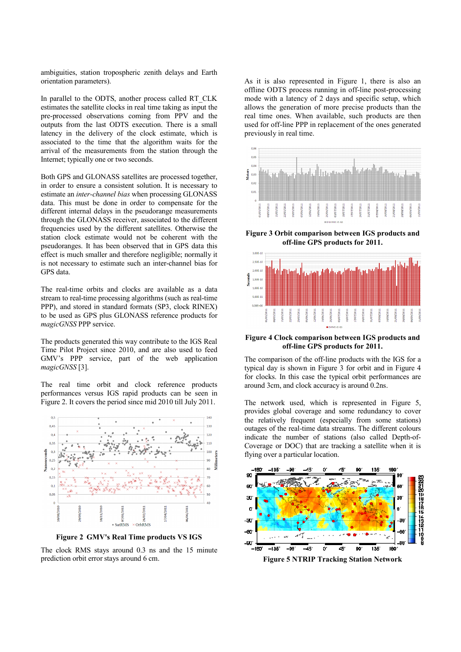ambiguities, station tropospheric zenith delays and Earth orientation parameters).

In parallel to the ODTS, another process called RT\_CLK estimates the satellite clocks in real time taking as input the pre-processed observations coming from PPV and the outputs from the last ODTS execution. There is a small ambiguities, station tropospheric zenith delays and Earth<br>orientation parameters).<br>In parallel to the ODTS, another process called RT\_CLK<br>estimates the satellite clocks in real time taking as input the<br>pre-processed observ associated to the time that the algorithm waits for the arrival of the measurements from the station through the Internet; typically one or two seconds.

Both GPS and GLONASS satellites are processed together, in order to ensure a consistent solution. It is necessary to estimate an inter-channel bias when processing GLONASS data. This must be done in order to compensate for the different internal delays in the pseudorange measurements through the GLONASS receiver, associated to the different frequencies used by the different satellites. Otherwise the station clock estimate would not be coherent with the pseudoranges. It has been observed that in GPS data this effect is much smaller and therefore negligible; normally it is not necessary to estimate such an inter-channel bias for GPS data. data. This must be done in order to compensate for the different internal delays in the pseudorange measurements through the GLONASS receiver, associated to the different frequencies used by the different satellites. Other

The real-time orbits and clocks are available as a data The real-time orbits and clocks are available as a data stream to real-time processing algorithms (such as real-time PPP), and stored in standard formats (SP3, clock RINEX) to be used as GPS plus GLONASS reference products for magicGNSS PPP service.

The products generated this way contribute to the IGS Real Time Pilot Project since 2010, and are also used to feed GMV's PPP service, part of the web application magicGNSS [3]. ducts generated this way contribute to the IGS Real<br>lot Project since 2010, and are also used to feed<br>PPP service, part of the web application<br>WSS [3].<br>al time orbit and clock reference products<br>ances versus IGS rapid prod

The real time orbit and clock reference products performances versus IGS rapid products can be seen in Figure 2. It covers the period since mid 2010 till July 2011.



Figure 2 GMV's Real Time products VS IGS

The clock RMS stays around 0.3 ns and the 15 minute prediction orbit error stays around 6 cm.

offline ODTS process running in off-line post-processing mode with a latency of 2 days and specific setup, which mode with a latency of 2 days and specific setup, which allows the generation of more precise products than the real time ones. When available, such products are then real time ones. When available, such products are then used for off-line PPP in replacement of the ones generated previously in real time. As it is also represented in Figure 1, there is also an



Figure 3 Orbit comparison between IGS products and off-line GPS products for 2011.



#### Figure 4 Clock comparison between IGS products and Clock and line products for 2011. off-line GPS products for 2011.

The comparison of the off-line products with the IGS for a typical day is shown in Figure 3 for orbit and in Figure 4 for clocks. In this case the typical orbit performances are for clocks. In this case the typical orbit perform<br>around 3cm, and clock accuracy is around 0.2ns.

The network used, which is represented in Figure 5, provides global coverage and some redundancy to cover the relatively frequent (especially from some stations) outages of the real-time data streams. The different colours indicate the number of stations (also called Depth-of-Coverage or DOC) that are tracking a satellite when it is flying over a particular location. vides global coverage and some redundancy to cover<br>relatively frequent (especially from some stations)<br>ages of the real-time data streams. The different colours



Figure 5 NTRIP Tracking Station Network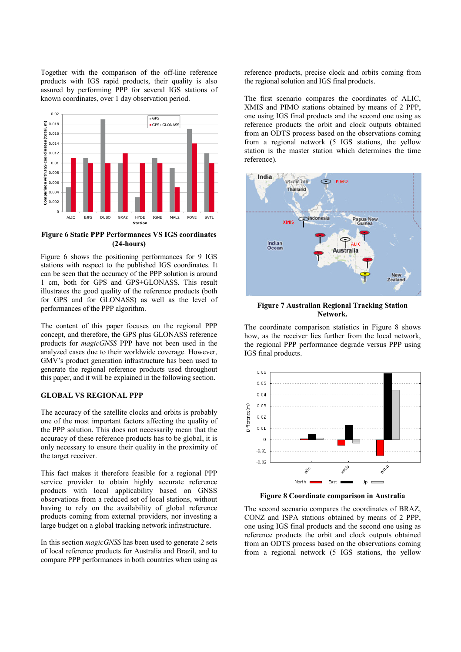Together with the comparison of the off-line reference products with IGS rapid products, their quality is also assured by performing PPP for several IGS stations of known coordinates, over 1 day observation period.



Figure 6 Static PPP Performances VS IGS coordinates (24-hours)

Figure 6 shows the positioning performances for 9 IGS stations with respect to the published IGS coordinates. It can be seen that the accuracy of the PPP solution is around 1 cm, both for GPS and GPS+GLONASS. This result illustrates the good quality of the reference products (both for GPS and for GLONASS) as well as the level of performances of the PPP algorithm.

The content of this paper focuses on the regional PPP concept, and therefore, the GPS plus GLONASS reference products for magicGNSS PPP have not been used in the analyzed cases due to their worldwide coverage. However, GMV's product generation infrastructure has been used to generate the regional reference products used throughout this paper, and it will be explained in the following section.

# GLOBAL VS REGIONAL PPP

The accuracy of the satellite clocks and orbits is probably one of the most important factors affecting the quality of the PPP solution. This does not necessarily mean that the accuracy of these reference products has to be global, it is only necessary to ensure their quality in the proximity of the target receiver.

This fact makes it therefore feasible for a regional PPP service provider to obtain highly accurate reference products with local applicability based on GNSS observations from a reduced set of local stations, without having to rely on the availability of global reference products coming from external providers, nor investing a large budget on a global tracking network infrastructure.

In this section magicGNSS has been used to generate 2 sets of local reference products for Australia and Brazil, and to compare PPP performances in both countries when using as reference products, precise clock and orbits coming from the regional solution and IGS final products.

The first scenario compares the coordinates of ALIC, XMIS and PIMO stations obtained by means of 2 PPP, one using IGS final products and the second one using as reference products the orbit and clock outputs obtained from an ODTS process based on the observations coming from a regional network (5 IGS stations, the yellow station is the master station which determines the time reference).



Figure 7 Australian Regional Tracking Station Network.

The coordinate comparison statistics in Figure 8 shows how, as the receiver lies further from the local network, the regional PPP performance degrade versus PPP using IGS final products.



Figure 8 Coordinate comparison in Australia

The second scenario compares the coordinates of BRAZ, CONZ and ISPA stations obtained by means of 2 PPP, one using IGS final products and the second one using as reference products the orbit and clock outputs obtained from an ODTS process based on the observations coming from a regional network (5 IGS stations, the yellow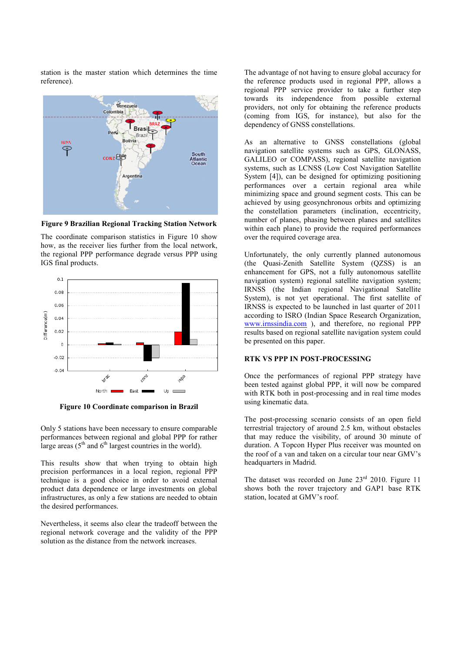station is the master station which determines the time reference).



Figure 9 Brazilian Regional Tracking Station Network

The coordinate comparison statistics in Figure 10 show how, as the receiver lies further from the local network, the regional PPP performance degrade versus PPP using IGS final products.



Figure 10 Coordinate comparison in Brazil

Only 5 stations have been necessary to ensure comparable performances between regional and global PPP for rather large areas  $(5<sup>th</sup>$  and  $6<sup>th</sup>$  largest countries in the world).

This results show that when trying to obtain high precision performances in a local region, regional PPP technique is a good choice in order to avoid external product data dependence or large investments on global infrastructures, as only a few stations are needed to obtain the desired performances.

Nevertheless, it seems also clear the tradeoff between the regional network coverage and the validity of the PPP solution as the distance from the network increases.

The advantage of not having to ensure global accuracy for the reference products used in regional PPP, allows a regional PPP service provider to take a further step towards its independence from possible external providers, not only for obtaining the reference products (coming from IGS, for instance), but also for the dependency of GNSS constellations.

As an alternative to GNSS constellations (global navigation satellite systems such as GPS, GLONASS, GALILEO or COMPASS), regional satellite navigation systems, such as LCNSS (Low Cost Navigation Satellite System [4]), can be designed for optimizing positioning performances over a certain regional area while minimizing space and ground segment costs. This can be achieved by using geosynchronous orbits and optimizing the constellation parameters (inclination, eccentricity, number of planes, phasing between planes and satellites within each plane) to provide the required performances over the required coverage area.

Unfortunately, the only currently planned autonomous (the Quasi-Zenith Satellite System (QZSS) is an enhancement for GPS, not a fully autonomous satellite navigation system) regional satellite navigation system; IRNSS (the Indian regional Navigational Satellite System), is not yet operational. The first satellite of IRNSS is expected to be launched in last quarter of 2011 according to ISRO (Indian Space Research Organization, www.irnssindia.com ), and therefore, no regional PPP results based on regional satellite navigation system could be presented on this paper.

#### RTK VS PPP IN POST-PROCESSING

Once the performances of regional PPP strategy have been tested against global PPP, it will now be compared with RTK both in post-processing and in real time modes using kinematic data.

The post-processing scenario consists of an open field terrestrial trajectory of around 2.5 km, without obstacles that may reduce the visibility, of around 30 minute of duration. A Topcon Hyper Plus receiver was mounted on the roof of a van and taken on a circular tour near GMV's headquarters in Madrid.

The dataset was recorded on June  $23<sup>rd</sup>$  2010. Figure 11 shows both the rover trajectory and GAP1 base RTK station, located at GMV's roof.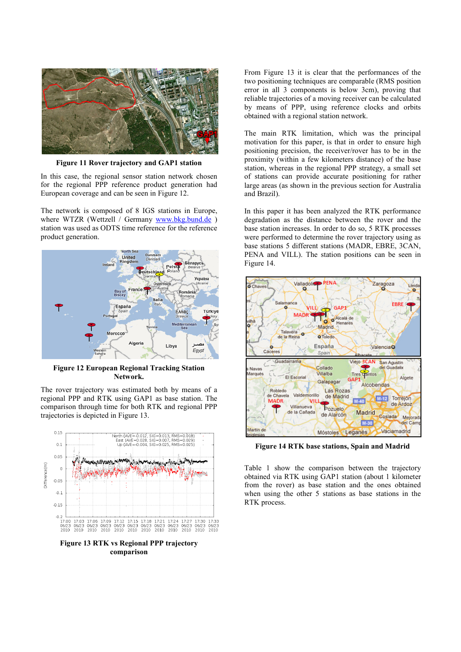

Figure 11 Rover trajectory and GAP1 station

In this case, the regional sensor station network chosen for the regional PPP reference product generation had European coverage and can be seen in Figure 12.

The network is composed of 8 IGS stations in Europe, where WTZR (Wettzell / Germany www.bkg.bund.de) station was used as ODTS time reference for the reference product generation.



Figure 12 European Regional Tracking Station Network.

The rover trajectory was estimated both by means of a regional PPP and RTK using GAP1 as base station. The comparison through time for both RTK and regional PPP trajectories is depicted in Figure 13.



comparison

From Figure 13 it is clear that the performances of the two positioning techniques are comparable (RMS position error in all 3 components is below 3cm), proving that reliable trajectories of a moving receiver can be calculated by means of PPP, using reference clocks and orbits obtained with a regional station network.

The main RTK limitation, which was the principal motivation for this paper, is that in order to ensure high positioning precision, the receiver/rover has to be in the proximity (within a few kilometers distance) of the base station, whereas in the regional PPP strategy, a small set of stations can provide accurate positioning for rather large areas (as shown in the previous section for Australia and Brazil).

In this paper it has been analyzed the RTK performance degradation as the distance between the rover and the base station increases. In order to do so, 5 RTK processes were performed to determine the rover trajectory using as base stations 5 different stations (MADR, EBRE, 3CAN, PENA and VILL). The station positions can be seen in Figure 14.



Figure 14 RTK base stations, Spain and Madrid

Table 1 show the comparison between the trajectory obtained via RTK using GAP1 station (about 1 kilometer from the rover) as base station and the ones obtained when using the other 5 stations as base stations in the RTK process.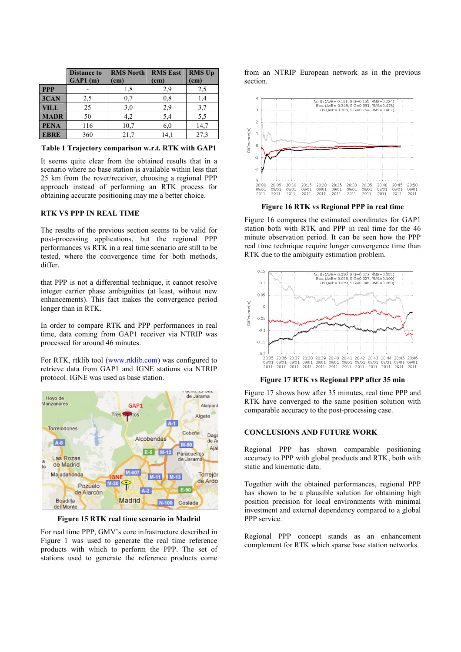|             | <b>Distance to</b><br>GAP1(m) | <b>RMS North</b><br>(cm) | <b>RMS</b> East<br>(cm) | <b>RMS Up</b><br>(cm) |
|-------------|-------------------------------|--------------------------|-------------------------|-----------------------|
| <b>PPP</b>  |                               | 1,8                      | 2,9                     | 2,5                   |
| 3CAN        | 2,5                           | 0,7                      | 0,8                     | 1,4                   |
| <b>VILL</b> | 25                            | 3,0                      | 2,9                     | 3,7                   |
| <b>MADR</b> | 50                            | 4,2                      | 5,4                     | 5,5                   |
| <b>PENA</b> | 116                           | 10,7                     | 6,0                     | 14,7                  |
| <b>EBRE</b> | 360                           | 21,7                     | 14.1                    | 27.3                  |

Table 1 Trajectory comparison w.r.t. RTK with GAP1

It seems quite clear from the obtained results that in a scenario where no base station is available within less that 25 km from the rover/receiver, choosing a regional PPP approach instead of performing an RTK process for obtaining accurate positioning may me a better choice.

### RTK VS PPP IN REAL TIME

The results of the previous section seems to be valid for post-processing applications, but the regional PPP performances vs RTK in a real time scenario are still to be tested, where the convergence time for both methods, differ.

that PPP is not a differential technique, it cannot resolve integer carrier phase ambiguities (at least, without new enhancements). This fact makes the convergence period longer than in RTK.

In order to compare RTK and PPP performances in real time, data coming from GAP1 receiver via NTRIP was processed for around 46 minutes.

For RTK, rtklib tool (www.rtklib.com) was configured to retrieve data from GAP1 and IGNE stations via NTRIP protocol. IGNE was used as base station.



Figure 15 RTK real time scenario in Madrid

For real time PPP, GMV's core infrastructure described in Figure 1 was used to generate the real time reference products with which to perform the PPP. The set of stations used to generate the reference products come

from an NTRIP European network as in the previous section.



Figure 16 RTK vs Regional PPP in real time

Figure 16 compares the estimated coordinates for GAP1 station both with RTK and PPP in real time for the 46 minute observation period. It can be seen how the PPP real time technique require longer convergence time than RTK due to the ambiguity estimation problem.



Figure 17 RTK vs Regional PPP after 35 min

Figure 17 shows how after 35 minutes, real time PPP and RTK have converged to the same position solution with comparable accuracy to the post-processing case.

# CONCLUSIONS AND FUTURE WORK

Regional PPP has shown comparable positioning accuracy to PPP with global products and RTK, both with static and kinematic data.

Together with the obtained performances, regional PPP has shown to be a plausible solution for obtaining high position precision for local environments with minimal investment and external dependency compared to a global PPP service.

Regional PPP concept stands as an enhancement complement for RTK which sparse base station networks.